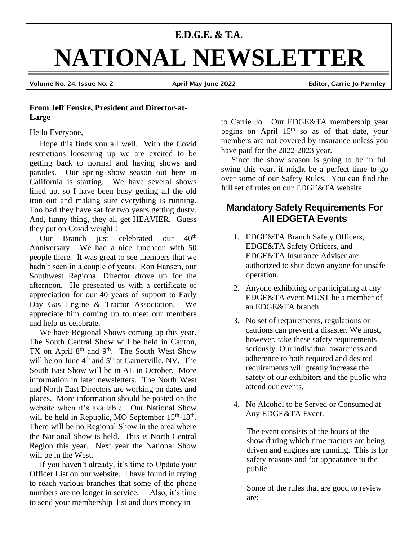# **E.D.G.E. & T.A. NATIONAL NEWSLETTER** Volume No. 24, Issue No. 2 April-May-June 2022 Editor, Carrie Jo Parmley

#### **From Jeff Fenske, President and Director-at-Large**

#### Hello Everyone,

 Hope this finds you all well. With the Covid restrictions loosening up we are excited to be getting back to normal and having shows and parades. Our spring show season out here in California is starting. We have several shows lined up, so I have been busy getting all the old iron out and making sure everything is running. Too bad they have sat for two years getting dusty. And, funny thing, they all get HEAVIER. Guess they put on Covid weight !

Our Branch just celebrated our 40<sup>th</sup> Anniversary. We had a nice luncheon with 50 people there. It was great to see members that we hadn't seen in a couple of years. Ron Hansen, our Southwest Regional Director drove up for the afternoon. He presented us with a certificate of appreciation for our 40 years of support to Early Day Gas Engine & Tractor Association. We appreciate him coming up to meet our members and help us celebrate.

 We have Regional Shows coming up this year. The South Central Show will be held in Canton, TX on April 8<sup>th</sup> and 9<sup>th</sup>. The South West Show will be on June  $4<sup>th</sup>$  and  $5<sup>th</sup>$  at Garnerville, NV. The South East Show will be in AL in October. More information in later newsletters. The North West and North East Directors are working on dates and places. More information should be posted on the website when it's available. Our National Show will be held in Republic, MO September  $15<sup>th</sup> - 18<sup>th</sup>$ . There will be no Regional Show in the area where the National Show is held. This is North Central Region this year. Next year the National Show will be in the West.

 If you haven't already, it's time to Update your Officer List on our website. I have found in trying to reach various branches that some of the phone numbers are no longer in service. Also, it's time to send your membership list and dues money in

to Carrie Jo. Our EDGE&TA membership year begins on April  $15<sup>th</sup>$  so as of that date, your members are not covered by insurance unless you have paid for the 2022-2023 year.

 Since the show season is going to be in full swing this year, it might be a perfect time to go over some of our Safety Rules. You can find the full set of rules on our EDGE&TA website.

# **Mandatory Safety Requirements For All EDGETA Events**

- 1. EDGE&TA Branch Safety Officers, EDGE&TA Safety Officers, and EDGE&TA Insurance Adviser are authorized to shut down anyone for unsafe operation.
- 2. Anyone exhibiting or participating at any EDGE&TA event MUST be a member of an EDGE&TA branch.
- 3. No set of requirements, regulations or cautions can prevent a disaster. We must, however, take these safety requirements seriously. Our individual awareness and adherence to both required and desired requirements will greatly increase the safety of our exhibitors and the public who attend our events.
- 4. No Alcohol to be Served or Consumed at Any EDGE&TA Event.

The event consists of the hours of the show during which time tractors are being driven and engines are running. This is for safety reasons and for appearance to the public.

Some of the rules that are good to review are: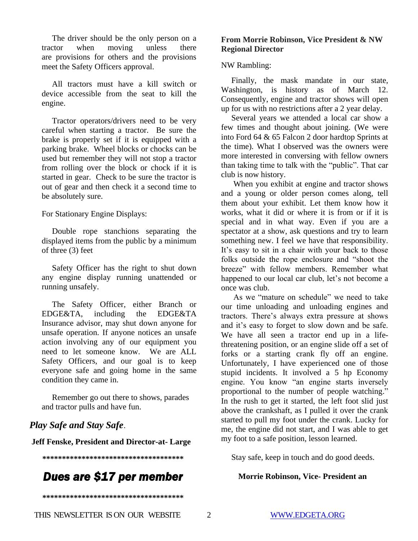The driver should be the only person on a tractor when moving unless there are provisions for others and the provisions meet the Safety Officers approval.

 All tractors must have a kill switch or device accessible from the seat to kill the engine.

 Tractor operators/drivers need to be very careful when starting a tractor. Be sure the brake is properly set if it is equipped with a parking brake. Wheel blocks or chocks can be used but remember they will not stop a tractor from rolling over the block or chock if it is started in gear. Check to be sure the tractor is out of gear and then check it a second time to be absolutely sure.

For Stationary Engine Displays:

 Double rope stanchions separating the displayed items from the public by a minimum of three (3) feet

 Safety Officer has the right to shut down any engine display running unattended or running unsafely.

 The Safety Officer, either Branch or EDGE&TA, including the EDGE&TA Insurance advisor, may shut down anyone for unsafe operation. If anyone notices an unsafe action involving any of our equipment you need to let someone know. We are ALL Safety Officers, and our goal is to keep everyone safe and going home in the same condition they came in.

 Remember go out there to shows, parades and tractor pulls and have fun.

## *Play Safe and Stay Safe*.

**Jeff Fenske, President and Director-at- Large**

**\*\*\*\*\*\*\*\*\*\*\*\*\*\*\*\*\*\*\*\*\*\*\*\*\*\*\*\*\*\*\*\*\*\*\*\***

# *Dues are \$17 per member*

**\*\*\*\*\*\*\*\*\*\*\*\*\*\*\*\*\*\*\*\*\*\*\*\*\*\*\*\*\*\*\*\*\*\*\*\***

#### **From Morrie Robinson, Vice President & NW Regional Director**

#### NW Rambling:

 Finally, the mask mandate in our state, Washington, is history as of March 12. Consequently, engine and tractor shows will open up for us with no restrictions after a 2 year delay.

 Several years we attended a local car show a few times and thought about joining. (We were into Ford 64 & 65 Falcon 2 door hardtop Sprints at the time). What I observed was the owners were more interested in conversing with fellow owners than taking time to talk with the "public". That car club is now history.

 When you exhibit at engine and tractor shows and a young or older person comes along, tell them about your exhibit. Let them know how it works, what it did or where it is from or if it is special and in what way. Even if you are a spectator at a show, ask questions and try to learn something new. I feel we have that responsibility. It's easy to sit in a chair with your back to those folks outside the rope enclosure and "shoot the breeze" with fellow members. Remember what happened to our local car club, let's not become a once was club.

 As we "mature on schedule" we need to take our time unloading and unloading engines and tractors. There's always extra pressure at shows and it's easy to forget to slow down and be safe. We have all seen a tractor end up in a lifethreatening position, or an engine slide off a set of forks or a starting crank fly off an engine. Unfortunately, I have experienced one of those stupid incidents. It involved a 5 hp Economy engine. You know "an engine starts inversely proportional to the number of people watching." In the rush to get it started, the left foot slid just above the crankshaft, as I pulled it over the crank started to pull my foot under the crank. Lucky for me, the engine did not start, and I was able to get my foot to a safe position, lesson learned.

Stay safe, keep in touch and do good deeds.

#### **Morrie Robinson, Vice- President an**

THIS NEWSLETTER IS ON OUR WEBSITE 2 [WWW.EDGETA.ORG](http://www.edgeta.org/)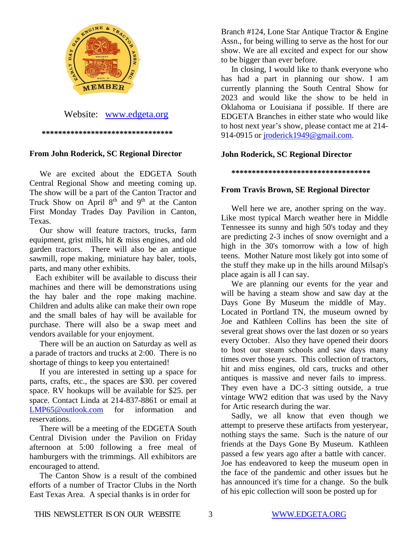

 **\*\*\*\*\*\*\*\*\*\*\*\*\*\*\*\*\*\*\*\*\*\*\*\*\*\*\*\*\*\*\*\***

#### **From John Roderick, SC Regional Director**

 We are excited about the EDGETA South Central Regional Show and meeting coming up. The show will be a part of the Canton Tractor and Truck Show on April  $8<sup>th</sup>$  and  $9<sup>th</sup>$  at the Canton First Monday Trades Day Pavilion in Canton, Texas.

 Our show will feature tractors, trucks, farm equipment, grist mills, hit & miss engines, and old garden tractors. There will also be an antique sawmill, rope making, miniature hay baler, tools, parts, and many other exhibits.

 Each exhibiter will be available to discuss their machines and there will be demonstrations using the hay baler and the rope making machine. Children and adults alike can make their own rope and the small bales of hay will be available for purchase. There will also be a swap meet and vendors available for your enjoyment.

 There will be an auction on Saturday as well as a parade of tractors and trucks at 2:00. There is no shortage of things to keep you entertained!

 If you are interested in setting up a space for parts, crafts, etc., the spaces are \$30. per covered space. RV hookups will be available for \$25. per space. Contact Linda at 214-837-8861 or email at [LMP65@outlook.com](mailto:LMP65@outlook.com) for information and reservations.

 There will be a meeting of the EDGETA South Central Division under the Pavilion on Friday afternoon at 5:00 following a free meal of hamburgers with the trimmings. All exhibitors are encouraged to attend.

 The Canton Show is a result of the combined efforts of a number of Tractor Clubs in the North East Texas Area. A special thanks is in order for

Branch #124, Lone Star Antique Tractor & Engine Assn., for being willing to serve as the host for our show. We are all excited and expect for our show to be bigger than ever before.

 In closing, I would like to thank everyone who has had a part in planning our show. I am currently planning the South Central Show for 2023 and would like the show to be held in Oklahoma or Louisiana if possible. If there are EDGETA Branches in either state who would like to host next year's show, please contact me at 214 914-0915 or [jroderick1949@gmail.com.](mailto:jroderick1949@gmail.com)

#### **John Roderick, SC Regional Director**

 **\*\*\*\*\*\*\*\*\*\*\*\*\*\*\*\*\*\*\*\*\*\*\*\*\*\*\*\*\*\*\*\*\*\***

#### **From Travis Brown, SE Regional Director**

 Well here we are, another spring on the way. Like most typical March weather here in Middle Tennessee its sunny and high 50's today and they are predicting 2-3 inches of snow overnight and a high in the 30's tomorrow with a low of high teens. Mother Nature most likely got into some of the stuff they make up in the hills around Milsap's place again is all I can say.

 We are planning our events for the year and will be having a steam show and saw day at the Days Gone By Museum the middle of May. Located in Portland TN, the museum owned by Joe and Kathleen Collins has been the site of several great shows over the last dozen or so years every October. Also they have opened their doors to host our steam schools and saw days many times over those years. This collection of tractors, hit and miss engines, old cars, trucks and other antiques is massive and never fails to impress. They even have a DC-3 sitting outside, a true vintage WW2 edition that was used by the Navy for Artic research during the war.

 Sadly, we all know that even though we attempt to preserve these artifacts from yesteryear, nothing stays the same. Such is the nature of our friends at the Days Gone By Museum. Kathleen passed a few years ago after a battle with cancer. Joe has endeavored to keep the museum open in the face of the pandemic and other issues but he has announced it's time for a change. So the bulk of his epic collection will soon be posted up for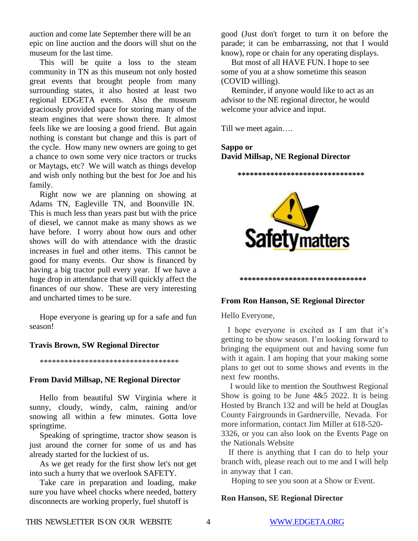auction and come late September there will be an epic on line auction and the doors will shut on the museum for the last time.

 This will be quite a loss to the steam community in TN as this museum not only hosted great events that brought people from many surrounding states, it also hosted at least two regional EDGETA events. Also the museum graciously provided space for storing many of the steam engines that were shown there. It almost feels like we are loosing a good friend. But again nothing is constant but change and this is part of the cycle. How many new owners are going to get a chance to own some very nice tractors or trucks or Maytags, etc? We will watch as things develop and wish only nothing but the best for Joe and his family.

 Right now we are planning on showing at Adams TN, Eagleville TN, and Boonville IN. This is much less than years past but with the price of diesel, we cannot make as many shows as we have before. I worry about how ours and other shows will do with attendance with the drastic increases in fuel and other items. This cannot be good for many events. Our show is financed by having a big tractor pull every year. If we have a huge drop in attendance that will quickly affect the finances of our show. These are very interesting and uncharted times to be sure.

 Hope everyone is gearing up for a safe and fun season!

#### **Travis Brown, SW Regional Director**

\*\*\*\*\*\*\*\*\*\*\*\*\*\*\*\*\*\*\*\*\*\*\*\*\*\*\*\*\*\*\*\*\*\*

#### **From David Millsap, NE Regional Director**

Hello from beautiful SW Virginia where it sunny, cloudy, windy, calm, raining and/or snowing all within a few minutes. Gotta love springtime.

 Speaking of springtime, tractor show season is just around the corner for some of us and has already started for the luckiest of us.

 As we get ready for the first show let's not get into such a hurry that we overlook SAFETY.

 Take care in preparation and loading, make sure you have wheel chocks where needed, battery disconnects are working properly, fuel shutoff is

good (Just don't forget to turn it on before the parade; it can be embarrassing, not that I would know), rope or chain for any operating displays.

 But most of all HAVE FUN. I hope to see some of you at a show sometime this season (COVID willing).

 Reminder, if anyone would like to act as an advisor to the NE regional director, he would welcome your advice and input.

Till we meet again….

### **Sappo or David Millsap, NE Regional Director**



 **\*\*\*\*\*\*\*\*\*\*\*\*\*\*\*\*\*\*\*\*\*\*\*\*\*\*\*\*\*\*\***

#### **From Ron Hanson, SE Regional Director**

Hello Everyone,

I hope everyone is excited as I am that it's getting to be show season. I'm looking forward to bringing the equipment out and having some fun with it again. I am hoping that your making some plans to get out to some shows and events in the next few months.

. I would like to mention the Southwest Regional Show is going to be June 4&5 2022. It is being Hosted by Branch 132 and will be held at Douglas County Fairgrounds in Gardnerville, Nevada.. For more information, contact Jim Miller at 618-520- 3326, or you can also look on the Events Page on the Nationals Website

If there is anything that I can do to help your branch with, please reach out to me and I will help in anyway that I can.

Hoping to see you soon at a Show or Event.

#### **Ron Hanson, SE Regional Director**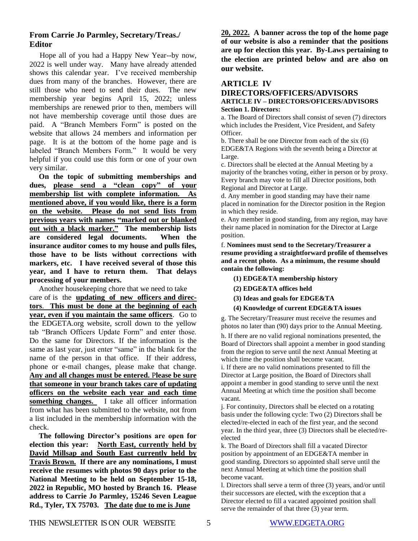#### **From,Carrie.Jo,Parmley, Secretary/Treas./...… Editor**

 Hope all of you had a Happy New Year--by now, 2022 is well under way. Many have already attended shows this calendar year. I've received membership dues from many of the branches. However, there are still those who need to send their dues. The new membership year begins April 15, 2022; unless memberships are renewed prior to then, members will not have membership coverage until those dues are paid. A "Branch Members Form" is posted on the website that allows 24 members and information per page. It is at the bottom of the home page and is labeled "Branch Members Form." It would be very helpful if you could use this form or one of your own very similar.

 **On the topic of submitting memberships and dues, please send a "clean copy" of your membership list with complete information. As mentioned above, if you would like, there is a form on the website. Please do not send lists from previous years with names "marked out or blanked out with a black marker." The membership lists are considered legal documents. When the insurance auditor comes to my house and pulls files, those have to be lists without corrections with markers, etc. I have received several of those this year, and I have to return them. That delays processing of your members.**

 Another housekeeping chore that we need to take care of is the **updating of new officers and directors**. **This must be done at the beginning of each year, even if you maintain the same officers**. Go to the EDGETA.org website, scroll down to the yellow tab "Branch Officers Update Form" and enter those. Do the same for Directors. If the information is the same as last year, just enter "same" in the blank for the name of the person in that office. If their address, phone or e-mail changes, please make that change. **Any and all changes must be entered.** P**lease be sure that someone in your branch takes care of updating officers on the website each year and each time something changes.** I take all officer information from what has been submitted to the website, not from a list included in the membership information with the check.

 **The following Director's positions are open for election this year: North East, currently held by David Millsap and South East currently held by Travis Brown. If there are any nominations, I must receive the resumes with photos 90 days prior to the National Meeting to be held on September 15-18, 2022 in Republic, MO hosted by Branch 16. Please address to Carrie Jo Parmley, 15246 Seven League Rd., Tyler, TX 75703. The date due to me is June**

**20, 2022. A banner across the top of the home page of our website is also a reminder that the positions are up for election this year. By-Laws pertaining to the election are printed below and are also on our website.**

#### **ARTICLE IV**

#### **DIRECTORS/OFFICERS/ADVISORS ARTICLE IV – DIRECTORS/OFICERS/ADVISORS Section 1. Directors:**

a. The Board of Directors shall consist of seven (7) directors which includes the President, Vice President, and Safety Officer.

b. There shall be one Director from each of the six (6) EDGE&TA Regions with the seventh being a Director at Large.

c. Directors shall be elected at the Annual Meeting by a majority of the branches voting, either in person or by proxy. Every branch may vote to fill all Director positions, both Regional and Director at Large.

d. Any member in good standing may have their name placed in nomination for the Director position in the Region in which they reside.

e. Any member in good standing, from any region, may have their name placed in nomination for the Director at Large position.

f. **Nominees must send to the Secretary/Treasurer a resume providing a straightforward profile of themselves and a recent photo. As a minimum, the resume should contain the following:**

- **(1) EDGE&TA membership history**
- **(2) EDGE&TA offices held**
- **(3) Ideas and goals for EDGE&TA**
- **(4) Knowledge of current EDGE&TA issues**

g. The Secretary/Treasurer must receive the resumes and photos no later than (90) days prior to the Annual Meeting.

h. If there are no valid regional nominations presented, the Board of Directors shall appoint a member in good standing from the region to serve until the next Annual Meeting at which time the position shall become vacant.

i. If there are no valid nominations presented to fill the Director at Large position, the Board of Directors shall appoint a member in good standing to serve until the next Annual Meeting at which time the position shall become vacant.

j. For continuity, Directors shall be elected on a rotating basis under the following cycle: Two (2) Directors shall be elected/re-elected in each of the first year, and the second year. In the third year, three (3) Directors shall be elected/reelected

k. The Board of Directors shall fill a vacated Director position by appointment of an EDGE&TA member in good standing. Directors so appointed shall serve until the next Annual Meeting at which time the position shall become vacant.

l. Directors shall serve a term of three (3) years, and/or until their successors are elected, with the exception that a Director elected to fill a vacated appointed position shall serve the remainder of that three (3) year term.